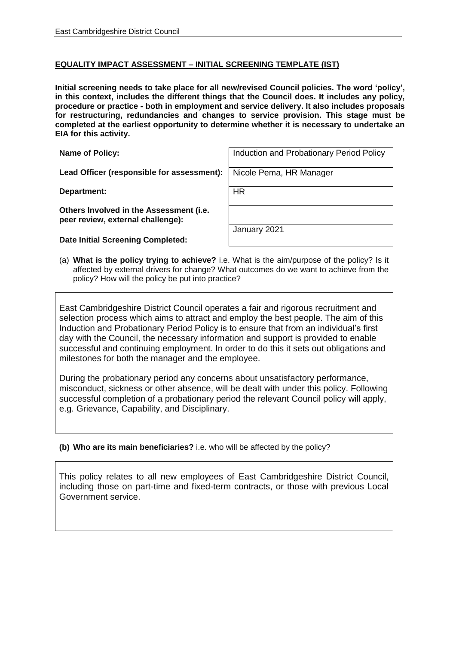## **EQUALITY IMPACT ASSESSMENT – INITIAL SCREENING TEMPLATE (IST)**

**Initial screening needs to take place for all new/revised Council policies. The word 'policy', in this context, includes the different things that the Council does. It includes any policy, procedure or practice - both in employment and service delivery. It also includes proposals for restructuring, redundancies and changes to service provision. This stage must be completed at the earliest opportunity to determine whether it is necessary to undertake an EIA for this activity.**

Lead Officer (responsible for assessment): Nicole Pema, HR Manager

**Department:** HR

**Others Involved in the Assessment (i.e. peer review, external challenge):**

**Date Initial Screening Completed:**

**Name of Policy:** Induction and Probationary Period Policy

January 2021

(a) **What is the policy trying to achieve?** i.e. What is the aim/purpose of the policy? Is it affected by external drivers for change? What outcomes do we want to achieve from the policy? How will the policy be put into practice?

East Cambridgeshire District Council operates a fair and rigorous recruitment and selection process which aims to attract and employ the best people. The aim of this Induction and Probationary Period Policy is to ensure that from an individual's first day with the Council, the necessary information and support is provided to enable successful and continuing employment. In order to do this it sets out obligations and milestones for both the manager and the employee.

During the probationary period any concerns about unsatisfactory performance, misconduct, sickness or other absence, will be dealt with under this policy. Following successful completion of a probationary period the relevant Council policy will apply. e.g. Grievance, Capability, and Disciplinary.

## **(b) Who are its main beneficiaries?** i.e. who will be affected by the policy?

This policy relates to all new employees of East Cambridgeshire District Council, including those on part-time and fixed-term contracts, or those with previous Local Government service.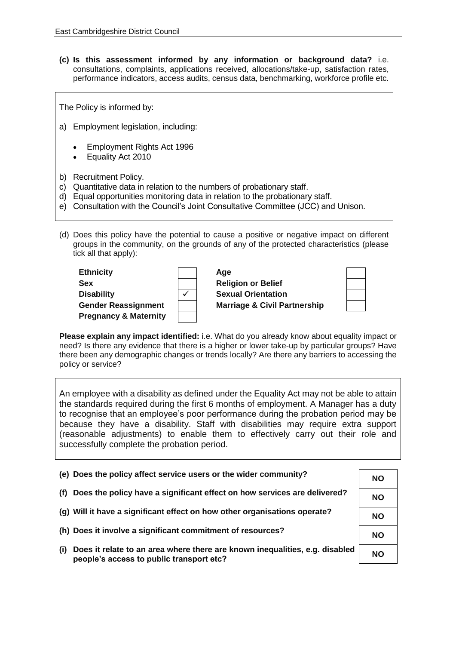**(c) Is this assessment informed by any information or background data?** i.e. consultations, complaints, applications received, allocations/take-up, satisfaction rates, performance indicators, access audits, census data, benchmarking, workforce profile etc.

The Policy is informed by:

- a) Employment legislation, including:
	- Employment Rights Act 1996
	- Equality Act 2010
- b) Recruitment Policy.
- c) Quantitative data in relation to the numbers of probationary staff.
- d) Equal opportunities monitoring data in relation to the probationary staff.
- e) Consultation with the Council's Joint Consultative Committee (JCC) and Unison.
- (d) Does this policy have the potential to cause a positive or negative impact on different groups in the community, on the grounds of any of the protected characteristics (please tick all that apply):

| <b>Ethnicity</b>                 | Age                                     |  |
|----------------------------------|-----------------------------------------|--|
| <b>Sex</b>                       | <b>Religion or Belief</b>               |  |
| <b>Disability</b>                | <b>Sexual Orientation</b>               |  |
| <b>Gender Reassignment</b>       | <b>Marriage &amp; Civil Partnership</b> |  |
| <b>Pregnancy &amp; Maternity</b> |                                         |  |

**Please explain any impact identified:** i.e. What do you already know about equality impact or need? Is there any evidence that there is a higher or lower take-up by particular groups? Have there been any demographic changes or trends locally? Are there any barriers to accessing the policy or service?

An employee with a disability as defined under the Equality Act may not be able to attain the standards required during the first 6 months of employment. A Manager has a duty to recognise that an employee's poor performance during the probation period may be because they have a disability. Staff with disabilities may require extra support (reasonable adjustments) to enable them to effectively carry out their role and successfully complete the probation period.

| (e) Does the policy affect service users or the wider community?                                                               | <b>NO</b> |
|--------------------------------------------------------------------------------------------------------------------------------|-----------|
| Does the policy have a significant effect on how services are delivered?<br>(f)                                                | <b>NO</b> |
| (g) Will it have a significant effect on how other organisations operate?                                                      | NΟ        |
| (h) Does it involve a significant commitment of resources?                                                                     | <b>NO</b> |
| Does it relate to an area where there are known inequalities, e.g. disabled<br>(i)<br>people's access to public transport etc? | <b>NO</b> |